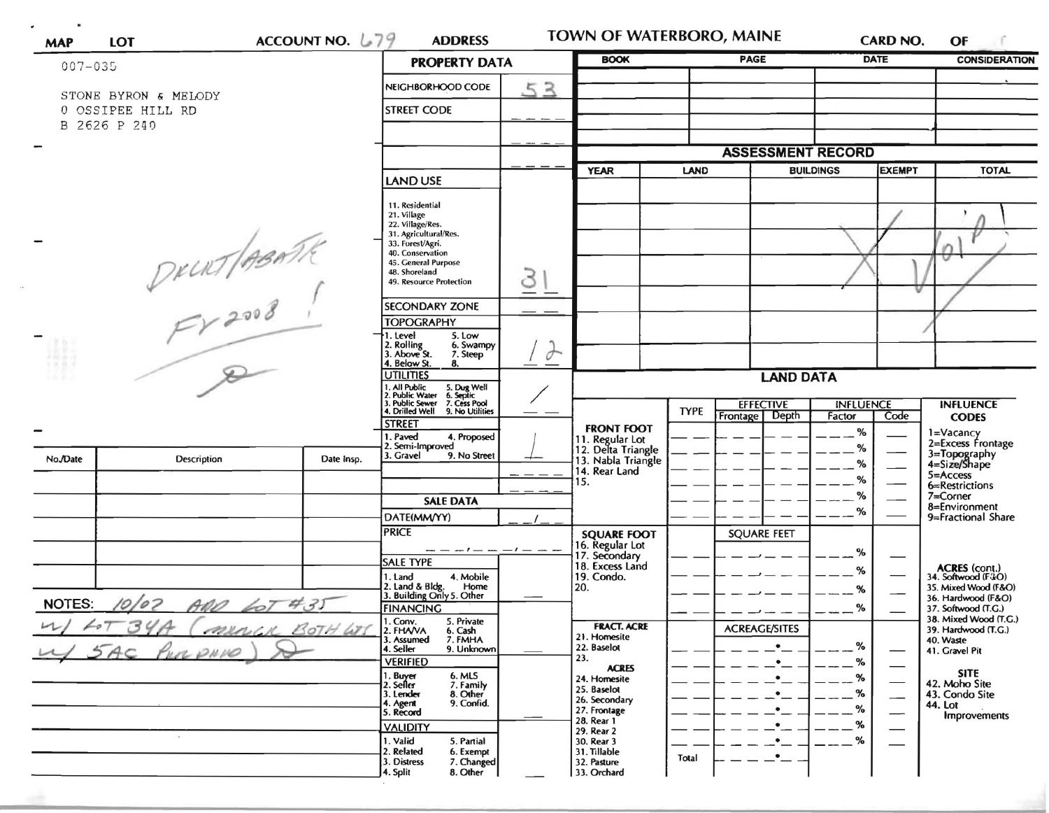| <b>MAP</b>                         | <b>LOT</b>                                | ACCOUNT NO. $L79$                                                        | <b>ADDRESS</b>                                            |          | TOWN OF WATERBORO, MAINE              |             |                                           |                  | <b>CARD NO.</b>          | OF                                           |
|------------------------------------|-------------------------------------------|--------------------------------------------------------------------------|-----------------------------------------------------------|----------|---------------------------------------|-------------|-------------------------------------------|------------------|--------------------------|----------------------------------------------|
| $007 - 035$                        |                                           |                                                                          | <b>PROPERTY DATA</b>                                      |          | <b>BOOK</b>                           |             | <b>PAGE</b>                               |                  | <b>DATE</b>              | <b>CONSIDERATION</b>                         |
|                                    |                                           |                                                                          | NEIGHBORHOOD CODE                                         | 53       |                                       |             |                                           |                  |                          |                                              |
|                                    | STONE BYRON & MELODY<br>0 OSSIPEE HILL RD |                                                                          | <b>STREET CODE</b>                                        |          |                                       |             |                                           |                  |                          |                                              |
|                                    | B 2626 P 240                              |                                                                          |                                                           |          |                                       |             |                                           |                  |                          |                                              |
|                                    |                                           |                                                                          |                                                           |          |                                       |             |                                           |                  |                          |                                              |
|                                    |                                           |                                                                          |                                                           |          |                                       |             | <b>ASSESSMENT RECORD</b><br><b>EXEMPT</b> |                  |                          |                                              |
|                                    |                                           |                                                                          | LAND USE                                                  |          | <b>YEAR</b>                           | <b>LAND</b> |                                           | <b>BUILDINGS</b> |                          | <b>TOTAL</b>                                 |
|                                    |                                           |                                                                          | 11. Residential                                           |          |                                       |             |                                           |                  |                          |                                              |
|                                    |                                           |                                                                          | 21. Village<br>22. Village/Res.                           |          |                                       |             |                                           |                  |                          |                                              |
|                                    | DRURT ABATA                               |                                                                          | 31. Agricultural/Res.<br>33. Forest/Agri.                 |          |                                       |             |                                           |                  |                          |                                              |
|                                    |                                           |                                                                          | 40. Conservation<br>45. General Purpose                   |          |                                       |             |                                           |                  |                          |                                              |
|                                    |                                           |                                                                          | 48. Shoreland<br>49. Resource Protection                  |          |                                       |             |                                           |                  |                          |                                              |
|                                    |                                           |                                                                          |                                                           |          |                                       |             |                                           |                  |                          |                                              |
|                                    |                                           |                                                                          | <b>SECONDARY ZONE</b>                                     |          |                                       |             |                                           |                  |                          |                                              |
|                                    |                                           |                                                                          | <b>TOPOGRAPHY</b><br>5. Low<br>. Level                    |          |                                       |             |                                           |                  |                          |                                              |
|                                    |                                           |                                                                          | 2. Rolling<br>6. Swampy<br>3. Above St.<br>7. Steep       | $\sigma$ |                                       |             |                                           |                  |                          |                                              |
|                                    |                                           |                                                                          | 4. Below St.<br>8.<br><b>UTILITIES</b>                    |          |                                       |             |                                           |                  |                          |                                              |
|                                    |                                           | . All Public<br>5. Dug Well<br>6. Septic<br>7. Cess Pool<br>Public Water | <b>LAND DATA</b>                                          |          |                                       |             |                                           |                  |                          |                                              |
|                                    |                                           |                                                                          | <b>Public Sewer</b><br>4. Drilled Well<br>9. No Utilities |          |                                       | <b>TYPE</b> | <b>EFFECTIVE</b>                          | <b>INFLUENCE</b> |                          | <b>INFLUENCE</b>                             |
|                                    |                                           |                                                                          | <b>STREET</b>                                             |          | <b>FRONT FOOT</b>                     |             | Frontage Depth                            | Factor<br>$\%$   | Code                     | <b>CODES</b><br>1=Vacancy                    |
|                                    |                                           |                                                                          | . Paved<br>4. Proposed<br>2. Semi-Improved                |          | 11. Regular Lot<br>12. Delta Triangle |             |                                           | %                |                          | 2=Excess Frontage                            |
| No./Date                           | <b>Description</b>                        | Date Insp.                                                               | 3. Gravel<br>9. No Street                                 |          | 13. Nabla Triangle<br>14. Rear Land   |             |                                           | %                |                          | 3=Topography<br>4=Size/Shape                 |
|                                    |                                           |                                                                          |                                                           |          | 15.                                   |             |                                           | %                |                          | $5 =$ Access<br>6=Restrictions               |
|                                    |                                           |                                                                          | <b>SALE DATA</b>                                          |          |                                       |             |                                           | %                |                          | 7=Corner<br>8=Environment                    |
|                                    |                                           |                                                                          | DATE(MM/YY)                                               |          |                                       |             |                                           | %                |                          | 9=Fractional Share                           |
|                                    |                                           |                                                                          | <b>PRICE</b>                                              |          | <b>SQUARE FOOT</b><br>16. Regular Lot |             | <b>SQUARE FEET</b>                        |                  |                          |                                              |
|                                    |                                           |                                                                          | $- -       -$<br><b>SALE TYPE</b>                         |          | 17. Secondary                         |             |                                           | %                |                          |                                              |
|                                    |                                           |                                                                          | 1. Land<br>4. Mobile                                      |          | 18. Excess Land<br>19. Condo.         |             |                                           | %                |                          | <b>ACRES</b> (cont.)<br>34. Softwood (F&O)   |
|                                    |                                           |                                                                          | 2. Land & Bldg.<br>Home<br>3. Building Only 5. Other      |          | 20.                                   |             |                                           | %                |                          | 35. Mixed Wood (F&O)<br>36. Hardwood (F&O)   |
| 10/02 AND 60T #35<br><b>NOTES:</b> |                                           |                                                                          | <b>FINANCING</b><br>5. Private                            |          |                                       |             |                                           | %                |                          | 37. Softwood (T.G.)<br>38. Mixed Wood (T.G.) |
|                                    | MULICK BOTH WIS                           |                                                                          | 1. Conv.<br>2. FHAVA<br>6. Cash<br>7. FMHA<br>3. Assumed  |          | <b>FRACT. ACRE</b><br>21. Homesite    |             | <b>ACREAGE/SITES</b>                      |                  |                          | 39. Hardwood (T.G.)<br>40. Waste             |
|                                    | 5AC PURPHIP                               |                                                                          | 4. Seiler<br>9. Unknown                                   |          | 22. Baselot<br>23.                    |             |                                           | %                |                          | 41. Gravel Pit                               |
|                                    |                                           |                                                                          | <b>VERIFIED</b><br>1. Buyer<br>6. MLS                     |          | <b>ACRES</b>                          |             |                                           | %                | —                        | SITE                                         |
|                                    |                                           |                                                                          | 2. Seller<br>7. Family<br>3. Lender<br>8. Other           |          | 24. Homesite<br>25. Baselot           |             |                                           |                  | $\overline{\phantom{0}}$ | 42. Moho Site<br>43. Condo Site              |
|                                    |                                           |                                                                          | 9. Confid.<br>4. Agent<br>5. Record                       |          | 26. Secondary<br>27. Frontage         |             |                                           | %                | -<br>—                   | 44. Lot<br>Improvements                      |
|                                    |                                           |                                                                          | <b>VALIDITY</b>                                           |          | 28. Rear 1<br>29. Rear 2              |             |                                           | %                |                          |                                              |
|                                    | $\sim$                                    |                                                                          | 1. Valid<br>5. Partial<br>2. Related<br>6. Exempt         |          | 30. Rear 3<br>31. Tillable            |             |                                           | %                |                          |                                              |
|                                    |                                           |                                                                          | 3. Distress<br>7. Changed                                 |          | 32. Pasture                           | Total       |                                           |                  |                          |                                              |
|                                    |                                           |                                                                          | 4. Split<br>8. Other                                      |          | 33. Orchard                           |             |                                           |                  |                          |                                              |